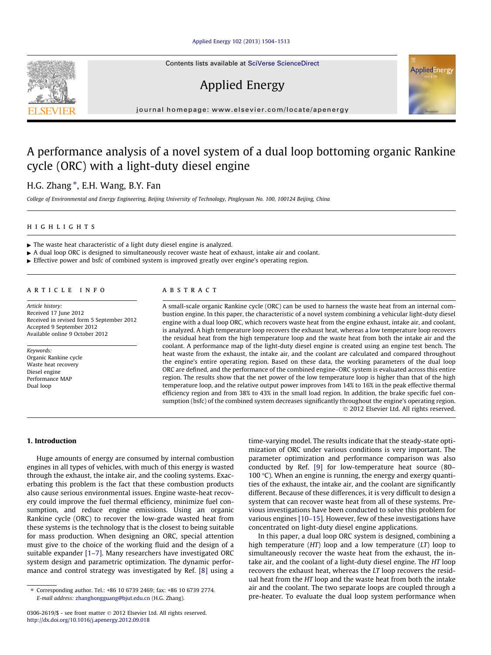### [Applied Energy 102 \(2013\) 1504–1513](http://dx.doi.org/10.1016/j.apenergy.2012.09.018)

Contents lists available at [SciVerse ScienceDirect](http://www.sciencedirect.com/science/journal/03062619)

# Applied Energy

journal homepage: [www.elsevier.com/locate/apenergy](http://www.elsevier.com/locate/apenergy)

# A performance analysis of a novel system of a dual loop bottoming organic Rankine cycle (ORC) with a light-duty diesel engine

# H.G. Zhang \*, E.H. Wang, B.Y. Fan

College of Environmental and Energy Engineering, Beijing University of Technology, Pingleyuan No. 100, 100124 Beijing, China

## highlights

- $\blacktriangleright$  The waste heat characteristic of a light duty diesel engine is analyzed.
- $\triangleright$  A dual loop ORC is designed to simultaneously recover waste heat of exhaust, intake air and coolant.
- Effective power and bsfc of combined system is improved greatly over engine's operating region.

#### article info

Article history: Received 17 June 2012 Received in revised form 5 September 2012 Accepted 9 September 2012 Available online 9 October 2012

Keywords: Organic Rankine cycle Waste heat recovery Diesel engine Performance MAP Dual loop

#### **ABSTRACT**

A small-scale organic Rankine cycle (ORC) can be used to harness the waste heat from an internal combustion engine. In this paper, the characteristic of a novel system combining a vehicular light-duty diesel engine with a dual loop ORC, which recovers waste heat from the engine exhaust, intake air, and coolant, is analyzed. A high temperature loop recovers the exhaust heat, whereas a low temperature loop recovers the residual heat from the high temperature loop and the waste heat from both the intake air and the coolant. A performance map of the light-duty diesel engine is created using an engine test bench. The heat waste from the exhaust, the intake air, and the coolant are calculated and compared throughout the engine's entire operating region. Based on these data, the working parameters of the dual loop ORC are defined, and the performance of the combined engine–ORC system is evaluated across this entire region. The results show that the net power of the low temperature loop is higher than that of the high temperature loop, and the relative output power improves from 14% to 16% in the peak effective thermal efficiency region and from 38% to 43% in the small load region. In addition, the brake specific fuel consumption (bsfc) of the combined system decreases significantly throughout the engine's operating region. - 2012 Elsevier Ltd. All rights reserved.

1. Introduction

Huge amounts of energy are consumed by internal combustion engines in all types of vehicles, with much of this energy is wasted through the exhaust, the intake air, and the cooling systems. Exacerbating this problem is the fact that these combustion products also cause serious environmental issues. Engine waste-heat recovery could improve the fuel thermal efficiency, minimize fuel consumption, and reduce engine emissions. Using an organic Rankine cycle (ORC) to recover the low-grade wasted heat from these systems is the technology that is the closest to being suitable for mass production. When designing an ORC, special attention must give to the choice of the working fluid and the design of a suitable expander [\[1–7\].](#page--1-0) Many researchers have investigated ORC system design and parametric optimization. The dynamic performance and control strategy was investigated by Ref. [\[8\]](#page--1-0) using a time-varying model. The results indicate that the steady-state optimization of ORC under various conditions is very important. The parameter optimization and performance comparison was also conducted by Ref. [\[9\]](#page--1-0) for low-temperature heat source (80– 100 $\degree$ C). When an engine is running, the energy and exergy quantities of the exhaust, the intake air, and the coolant are significantly different. Because of these differences, it is very difficult to design a system that can recover waste heat from all of these systems. Previous investigations have been conducted to solve this problem for various engines [\[10–15\].](#page--1-0) However, few of these investigations have concentrated on light-duty diesel engine applications.

AppliedEnergy

In this paper, a dual loop ORC system is designed, combining a high temperature (HT) loop and a low temperature (LT) loop to simultaneously recover the waste heat from the exhaust, the intake air, and the coolant of a light-duty diesel engine. The HT loop recovers the exhaust heat, whereas the LT loop recovers the residual heat from the HT loop and the waste heat from both the intake air and the coolant. The two separate loops are coupled through a pre-heater. To evaluate the dual loop system performance when



<sup>⇑</sup> Corresponding author. Tel.: +86 10 6739 2469; fax: +86 10 6739 2774. E-mail address: [zhanghongguang@bjut.edu.cn](mailto:zhanghongguang@bjut.edu.cn) (H.G. Zhang).

<sup>0306-2619/\$ -</sup> see front matter © 2012 Elsevier Ltd. All rights reserved. <http://dx.doi.org/10.1016/j.apenergy.2012.09.018>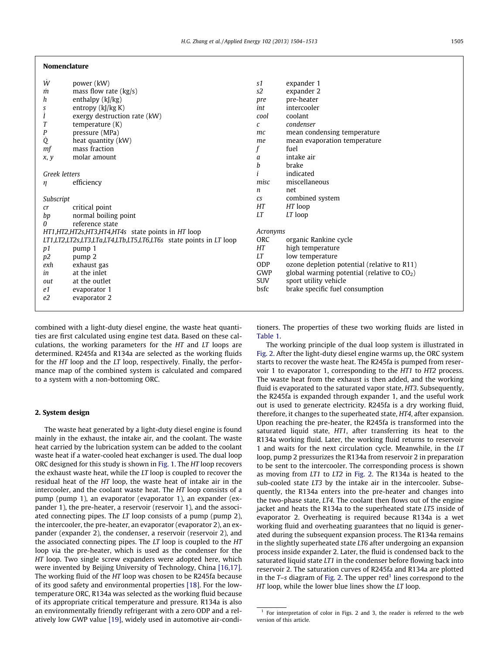## Nomenclature

| W                                                      | power (kW)                                                        | s1                       | expander 1                                    |
|--------------------------------------------------------|-------------------------------------------------------------------|--------------------------|-----------------------------------------------|
| m                                                      | mass flow rate $(kg/s)$                                           | s2                       | expander 2                                    |
| h                                                      | enthalpy (kJ/kg)                                                  | pre                      | pre-heater                                    |
| s                                                      | entropy $(k]/kg K$                                                | int                      | intercooler                                   |
| Ì                                                      | exergy destruction rate (kW)                                      | cool                     | coolant                                       |
| T                                                      | temperature $(K)$                                                 | C                        | condenser                                     |
| P                                                      | pressure (MPa)                                                    | mc                       | mean condensing temperature                   |
| Q                                                      | heat quantity (kW)                                                | me                       | mean evaporation temperature                  |
| mf                                                     | mass fraction                                                     |                          | fuel                                          |
| x, y                                                   | molar amount                                                      | a                        | intake air                                    |
|                                                        |                                                                   | b                        | brake                                         |
| Greek letters                                          |                                                                   |                          | indicated                                     |
| η                                                      | efficiency                                                        | misc                     | miscellaneous                                 |
|                                                        |                                                                   | n                        | net                                           |
| Subscript                                              |                                                                   | $\mathcal{C}\mathcal{S}$ | combined system                               |
| <i>cr</i>                                              | critical point                                                    | HТ                       | HT loop                                       |
| bp                                                     | normal boiling point                                              | <b>LT</b>                | LT loop                                       |
| 0                                                      | reference state                                                   |                          |                                               |
| HT1, HT2, HT2s, HT3, HT4, HT4s state points in HT loop |                                                                   | Acronyms                 |                                               |
|                                                        | LT1,LT2,LT2s,LT3,LTa,LT4,LTb,LT5,LT6,LT6s state points in LT loop | ORC                      | organic Rankine cycle                         |
| p1                                                     | pump 1                                                            | HT                       | high temperature                              |
| p2                                                     | pump 2                                                            | <b>LT</b>                | low temperature                               |
| exh                                                    | exhaust gas                                                       | ODP                      | ozone depletion potential (relative to R11)   |
| in                                                     | at the inlet                                                      | GWP                      | global warming potential (relative to $CO2$ ) |
| out                                                    | at the outlet                                                     | <b>SUV</b>               | sport utility vehicle                         |
| e1                                                     | evaporator 1                                                      | bsfc                     | brake specific fuel consumption               |
| e2                                                     | evaporator 2                                                      |                          |                                               |

combined with a light-duty diesel engine, the waste heat quantities are first calculated using engine test data. Based on these calculations, the working parameters for the HT and LT loops are determined. R245fa and R134a are selected as the working fluids for the HT loop and the LT loop, respectively. Finally, the performance map of the combined system is calculated and compared to a system with a non-bottoming ORC.

### 2. System design

The waste heat generated by a light-duty diesel engine is found mainly in the exhaust, the intake air, and the coolant. The waste heat carried by the lubrication system can be added to the coolant waste heat if a water-cooled heat exchanger is used. The dual loop ORC designed for this study is shown in [Fig. 1.](#page--1-0) The HT loop recovers the exhaust waste heat, while the LT loop is coupled to recover the residual heat of the HT loop, the waste heat of intake air in the intercooler, and the coolant waste heat. The HT loop consists of a pump (pump 1), an evaporator (evaporator 1), an expander (expander 1), the pre-heater, a reservoir (reservoir 1), and the associated connecting pipes. The LT loop consists of a pump (pump 2), the intercooler, the pre-heater, an evaporator (evaporator 2), an expander (expander 2), the condenser, a reservoir (reservoir 2), and the associated connecting pipes. The LT loop is coupled to the HT loop via the pre-heater, which is used as the condenser for the HT loop. Two single screw expanders were adopted here, which were invented by Beijing University of Technology, China [\[16,17\].](#page--1-0) The working fluid of the HT loop was chosen to be R245fa because of its good safety and environmental properties [\[18\]](#page--1-0). For the lowtemperature ORC, R134a was selected as the working fluid because of its appropriate critical temperature and pressure. R134a is also an environmentally friendly refrigerant with a zero ODP and a relatively low GWP value [\[19\]](#page--1-0), widely used in automotive air-conditioners. The properties of these two working fluids are listed in [Table 1](#page--1-0).

The working principle of the dual loop system is illustrated in [Fig. 2](#page--1-0). After the light-duty diesel engine warms up, the ORC system starts to recover the waste heat. The R245fa is pumped from reservoir 1 to evaporator 1, corresponding to the HT1 to HT2 process. The waste heat from the exhaust is then added, and the working fluid is evaporated to the saturated vapor state, HT3. Subsequently, the R245fa is expanded through expander 1, and the useful work out is used to generate electricity. R245fa is a dry working fluid, therefore, it changes to the superheated state, HT4, after expansion. Upon reaching the pre-heater, the R245fa is transformed into the saturated liquid state, HT1, after transferring its heat to the R134a working fluid. Later, the working fluid returns to reservoir 1 and waits for the next circulation cycle. Meanwhile, in the LT loop, pump 2 pressurizes the R134a from reservoir 2 in preparation to be sent to the intercooler. The corresponding process is shown as moving from LT1 to LT2 in [Fig. 2](#page--1-0). The R134a is heated to the sub-cooled state LT3 by the intake air in the intercooler. Subsequently, the R134a enters into the pre-heater and changes into the two-phase state, LT4. The coolant then flows out of the engine jacket and heats the R134a to the superheated state LT5 inside of evaporator 2. Overheating is required because R134a is a wet working fluid and overheating guarantees that no liquid is generated during the subsequent expansion process. The R134a remains in the slightly superheated state LT6 after undergoing an expansion process inside expander 2. Later, the fluid is condensed back to the saturated liquid state LT1 in the condenser before flowing back into reservoir 2. The saturation curves of R245fa and R134a are plotted in the T–s diagram of [Fig. 2](#page--1-0). The upper red<sup>1</sup> lines correspond to the HT loop, while the lower blue lines show the LT loop.

 $1$  For interpretation of color in Figs. 2 and 3, the reader is referred to the web version of this article.